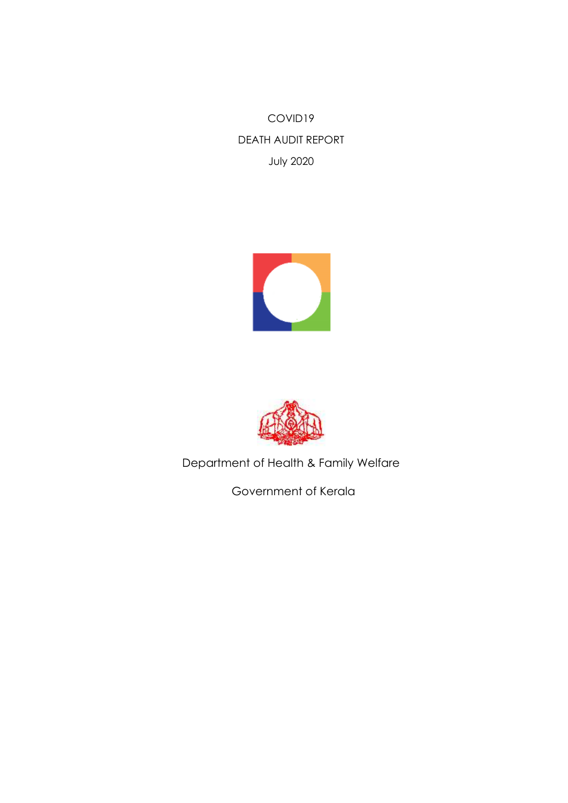COVID19 DEATH AUDIT REPORT July 2020





Department of Health & Family Welfare

Government of Kerala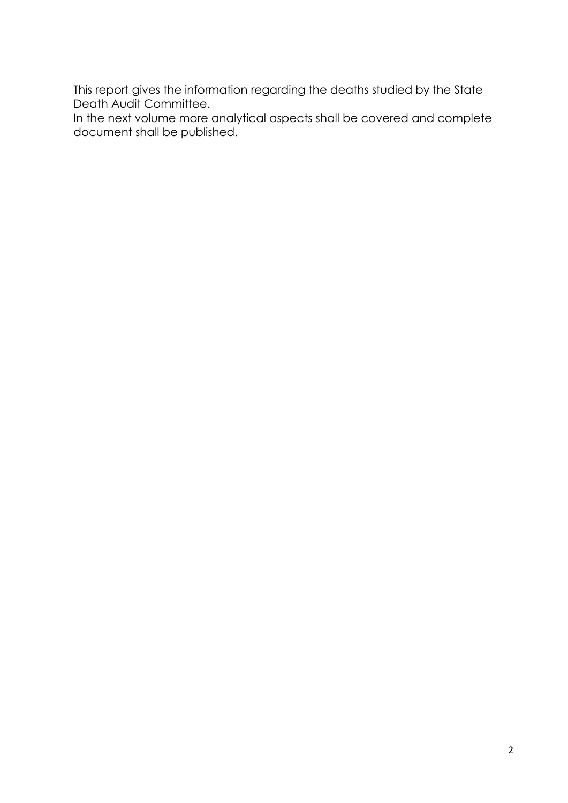This report gives the information regarding the deaths studied by the State Death Audit Committee.

In the next volume more analytical aspects shall be covered and complete document shall be published.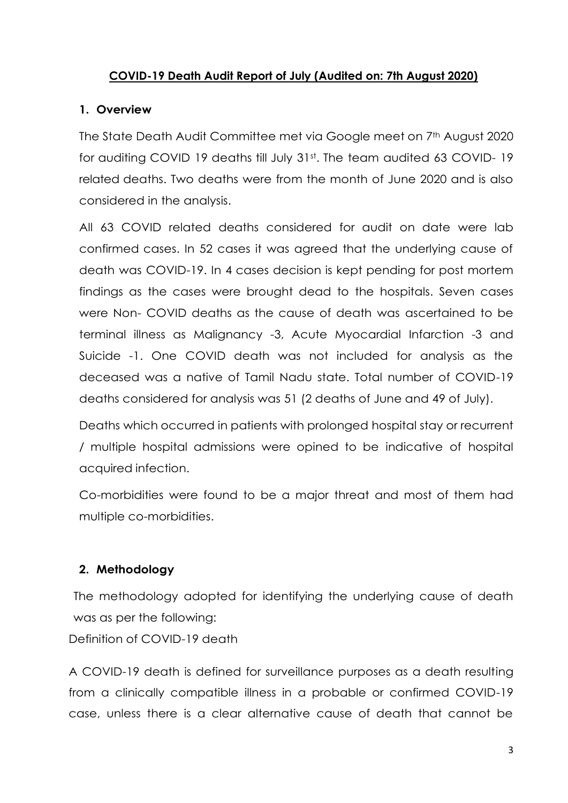#### **COVID-19 Death Audit Report of July (Audited on: 7th August 2020)**

#### **1. Overview**

The State Death Audit Committee met via Google meet on 7th August 2020 for auditing COVID 19 deaths till July 31st. The team audited 63 COVID-19 related deaths. Two deaths were from the month of June 2020 and is also considered in the analysis.

All 63 COVID related deaths considered for audit on date were lab confirmed cases. In 52 cases it was agreed that the underlying cause of death was COVID-19. In 4 cases decision is kept pending for post mortem findings as the cases were brought dead to the hospitals. Seven cases were Non- COVID deaths as the cause of death was ascertained to be terminal illness as Malignancy -3, Acute Myocardial Infarction -3 and Suicide -1. One COVID death was not included for analysis as the deceased was a native of Tamil Nadu state. Total number of COVID-19 deaths considered for analysis was 51 (2 deaths of June and 49 of July).

Deaths which occurred in patients with prolonged hospital stay or recurrent / multiple hospital admissions were opined to be indicative of hospital acquired infection.

Co-morbidities were found to be a major threat and most of them had multiple co-morbidities.

## **2. Methodology**

The methodology adopted for identifying the underlying cause of death was as per the following:

Definition of COVID-19 death

A COVID-19 death is defined for surveillance purposes as a death resulting from a clinically compatible illness in a probable or confirmed COVID-19 case, unless there is a clear alternative cause of death that cannot be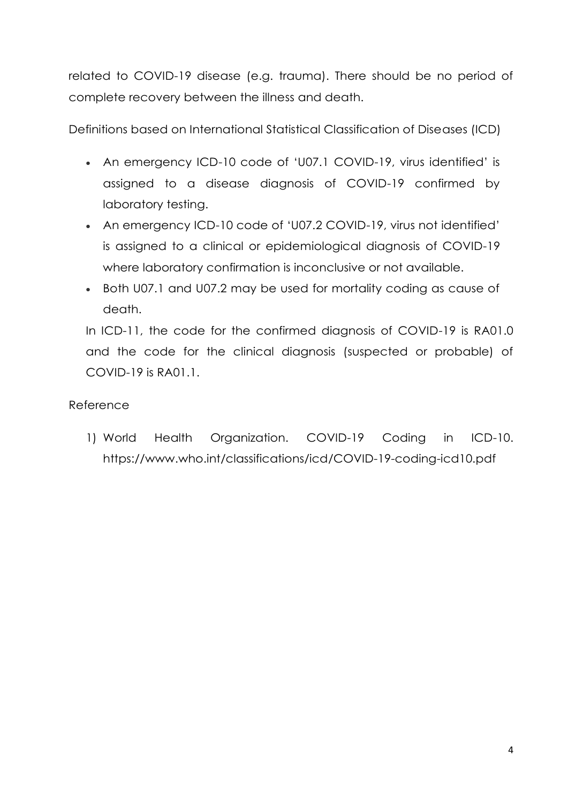related to COVID-19 disease (e.g. trauma). There should be no period of complete recovery between the illness and death.

Definitions based on International Statistical Classification of Diseases (ICD)

- An emergency ICD-10 code of 'U07.1 COVID-19, virus identified' is assigned to a disease diagnosis of COVID-19 confirmed by laboratory testing.
- An emergency ICD-10 code of 'U07.2 COVID-19, virus not identified' is assigned to a clinical or epidemiological diagnosis of COVID-19 where laboratory confirmation is inconclusive or not available.
- Both U07.1 and U07.2 may be used for mortality coding as cause of death.

In ICD-11, the code for the confirmed diagnosis of COVID-19 is RA01.0 and the code for the clinical diagnosis (suspected or probable) of COVID-19 is RA01.1.

# Reference

1) World Health Organization. COVID-19 Coding in ICD-10. <https://www.who.int/classifications/icd/COVID-19-coding-icd10.pdf>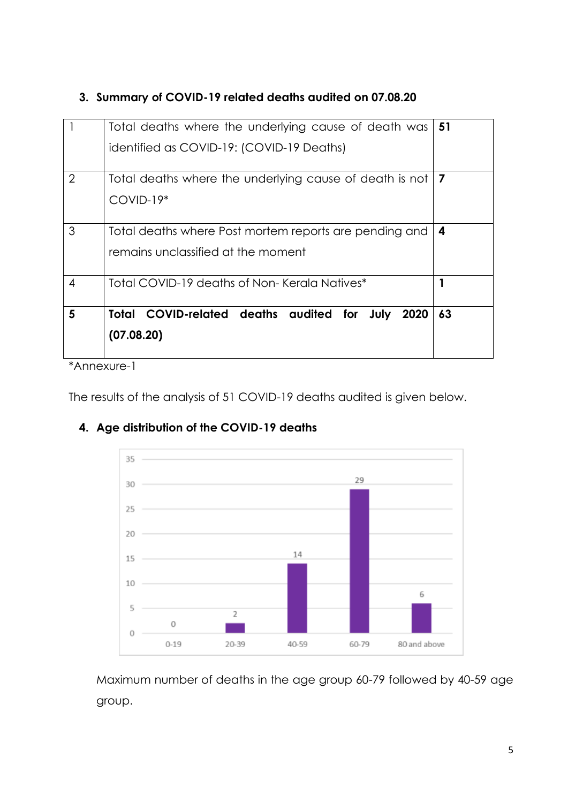|                | Total deaths where the underlying cause of death was   51                                    |    |  |  |  |  |  |
|----------------|----------------------------------------------------------------------------------------------|----|--|--|--|--|--|
|                | identified as COVID-19: (COVID-19 Deaths)                                                    |    |  |  |  |  |  |
| $\overline{2}$ | Total deaths where the underlying cause of death is not<br>$COVID-19*$                       |    |  |  |  |  |  |
| 3              | Total deaths where Post mortem reports are pending and<br>remains unclassified at the moment |    |  |  |  |  |  |
| 4              | Total COVID-19 deaths of Non-Kerala Natives*                                                 |    |  |  |  |  |  |
| 5              | Total COVID-related deaths audited for July<br>2020<br>(07.08.20)                            | 63 |  |  |  |  |  |

# **3. Summary of COVID-19 related deaths audited on 07.08.20**

\*Annexure-1

The results of the analysis of 51 COVID-19 deaths audited is given below.



20-39

# **4. Age distribution of the COVID-19 deaths**

 $0 - 19$ 

Maximum number of deaths in the age group 60-79 followed by 40-59 age group.

40-59

60-79

80 and above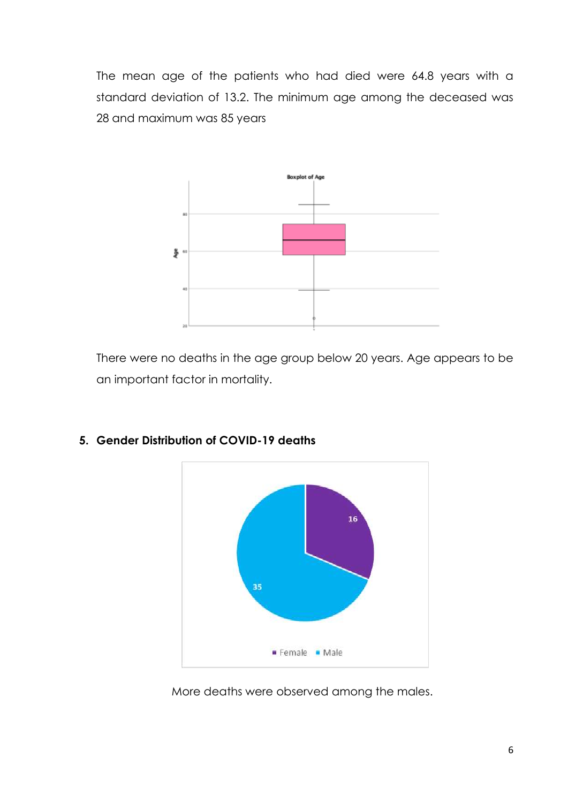The mean age of the patients who had died were 64.8 years with a standard deviation of 13.2. The minimum age among the deceased was 28 and maximum was 85 years



There were no deaths in the age group below 20 years. Age appears to be an important factor in mortality.



#### **5. Gender Distribution of COVID-19 deaths**

More deaths were observed among the males.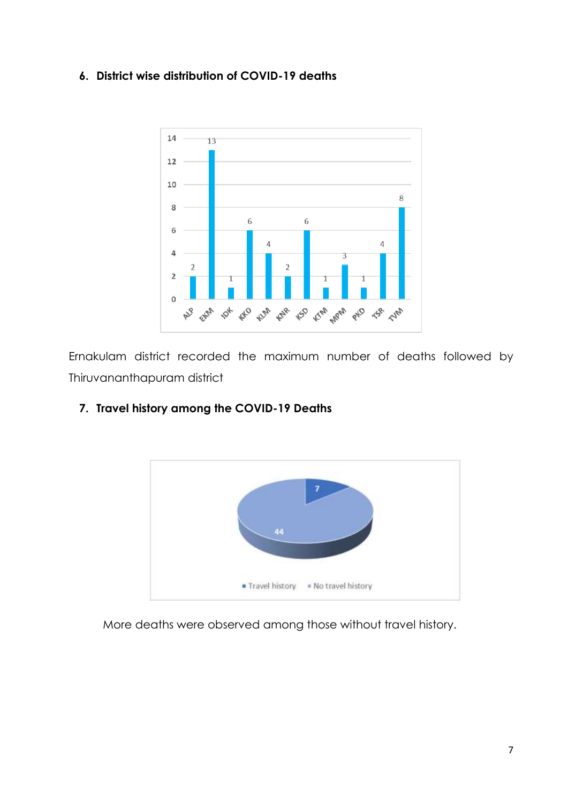### **6. District wise distribution of COVID-19 deaths**



Ernakulam district recorded the maximum number of deaths followed by Thiruvananthapuram district



#### **7. Travel history among the COVID-19 Deaths**

More deaths were observed among those without travel history.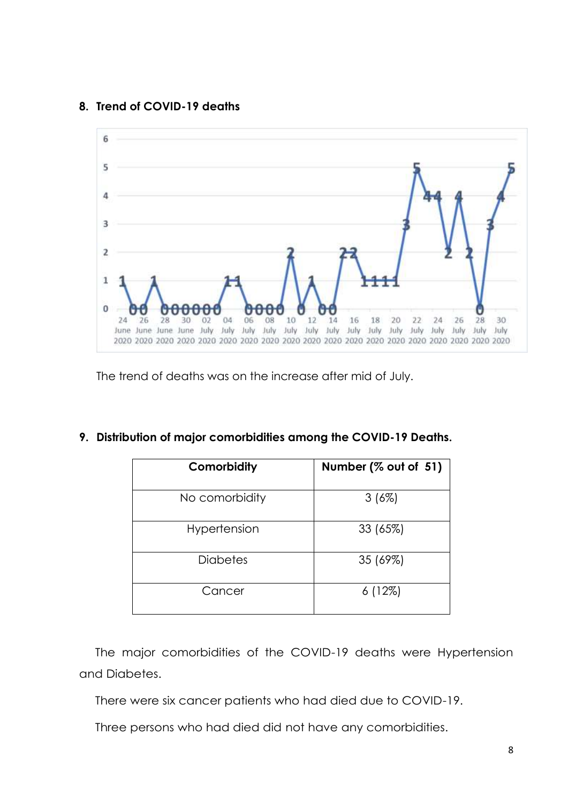#### **8. Trend of COVID-19 deaths**



The trend of deaths was on the increase after mid of July.

| 7. Distribution of major comorbidities among the COVID-19 Deaths. |
|-------------------------------------------------------------------|
|                                                                   |

| Comorbidity     | Number (% out of 51) |
|-----------------|----------------------|
| No comorbidity  | 3(6%)                |
| Hypertension    | 33 (65%)             |
| <b>Diabetes</b> | 35 (69%)             |
| Cancer          | 6(12%)               |

The major comorbidities of the COVID-19 deaths were Hypertension and Diabetes.

There were six cancer patients who had died due to COVID-19.

Three persons who had died did not have any comorbidities.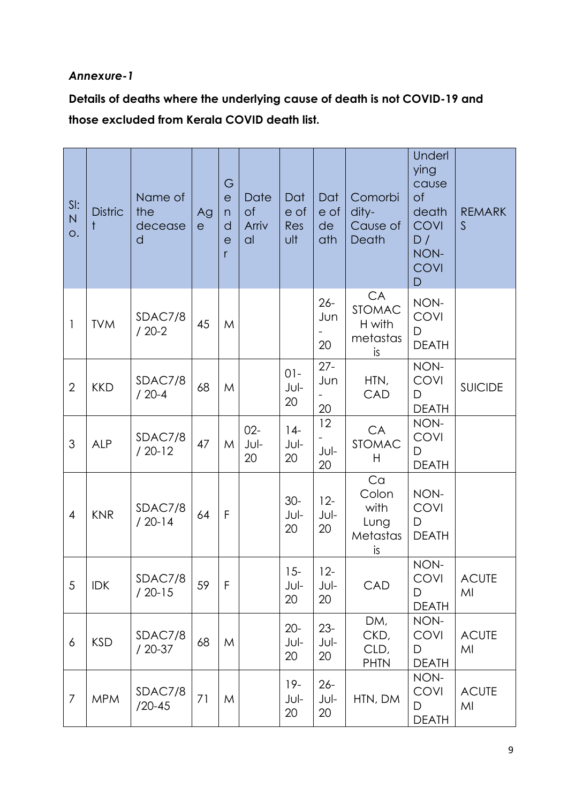## *Annexure-1*

**Details of deaths where the underlying cause of death is not COVID-19 and those excluded from Kerala COVID death list.**

| SI:<br>${\sf N}$<br>O. | <b>Distric</b> | Name of<br>the<br>decease<br>d | Ag<br>$\mathsf{e}$ | G<br>$\mathsf{e}$<br>n<br>d<br>e<br>r | Date<br>of<br>Arriv<br> a | Dat<br>e of<br>Res<br>ult | Dat<br>e of<br>de<br>ath | Comorbi<br>dity-<br>Cause of<br>Death           | Underl<br>ying<br>cause<br>of<br>death<br><b>COVI</b><br>D/<br>NON-<br><b>COVI</b><br>$\mathsf{D}$ | <b>REMARK</b><br>$\mathsf{S}$ |
|------------------------|----------------|--------------------------------|--------------------|---------------------------------------|---------------------------|---------------------------|--------------------------|-------------------------------------------------|----------------------------------------------------------------------------------------------------|-------------------------------|
| $\mathbf{1}$           | <b>TVM</b>     | SDAC7/8<br>$/20-2$             | 45                 | M                                     |                           |                           | $26 -$<br>Jun<br>20      | CA<br><b>STOMAC</b><br>H with<br>metastas<br>is | NON-<br><b>COVI</b><br>D<br><b>DEATH</b>                                                           |                               |
| $\overline{2}$         | <b>KKD</b>     | SDAC7/8<br>$/20-4$             | 68                 | M                                     |                           | $01 -$<br>Jul-<br>20      | $27 -$<br>Jun<br>20      | HTN,<br>CAD                                     | NON-<br><b>COVI</b><br>D<br><b>DEATH</b>                                                           | <b>SUICIDE</b>                |
| 3                      | <b>ALP</b>     | SDAC7/8<br>$/20-12$            | 47                 | M                                     | $02 -$<br>Jul-<br>20      | $14-$<br>Jul-<br>20       | 12<br>Jul-<br>20         | CA<br>STOMAC<br>H                               | NON-<br><b>COVI</b><br>D<br><b>DEATH</b>                                                           |                               |
| $\overline{4}$         | <b>KNR</b>     | SDAC7/8<br>$/20-14$            | 64                 | F                                     |                           | $30-$<br>Jul-<br>20       | $12 -$<br>Jul-<br>20     | Ca<br>Colon<br>with<br>Lung<br>Metastas<br>is   | NON-<br><b>COVI</b><br>D<br><b>DEATH</b>                                                           |                               |
| $\overline{5}$         | <b>IDK</b>     | SDAC7/8<br>$/20-15$            | 59                 | F                                     |                           | $15 -$<br>Jul-<br>20      | $12 -$<br>Jul-<br>20     | CAD                                             | NON-<br><b>COVI</b><br>D<br><b>DEATH</b>                                                           | <b>ACUTE</b><br>MI            |
| 6                      | <b>KSD</b>     | SDAC7/8<br>$/20-37$            | 68                 | M                                     |                           | $20 -$<br>Jul-<br>20      | $23 -$<br>Jul-<br>20     | DM,<br>CKD,<br>CLD,<br><b>PHTN</b>              | NON-<br><b>COVI</b><br>D<br><b>DEATH</b>                                                           | <b>ACUTE</b><br>MI            |
| $\overline{7}$         | <b>MPM</b>     | SDAC7/8<br>$/20 - 45$          | 71                 | M                                     |                           | $19-$<br>Jul-<br>20       | $26 -$<br>Jul-<br>20     | HTN, DM                                         | NON-<br><b>COVI</b><br>D<br><b>DEATH</b>                                                           | <b>ACUTE</b><br>MI            |